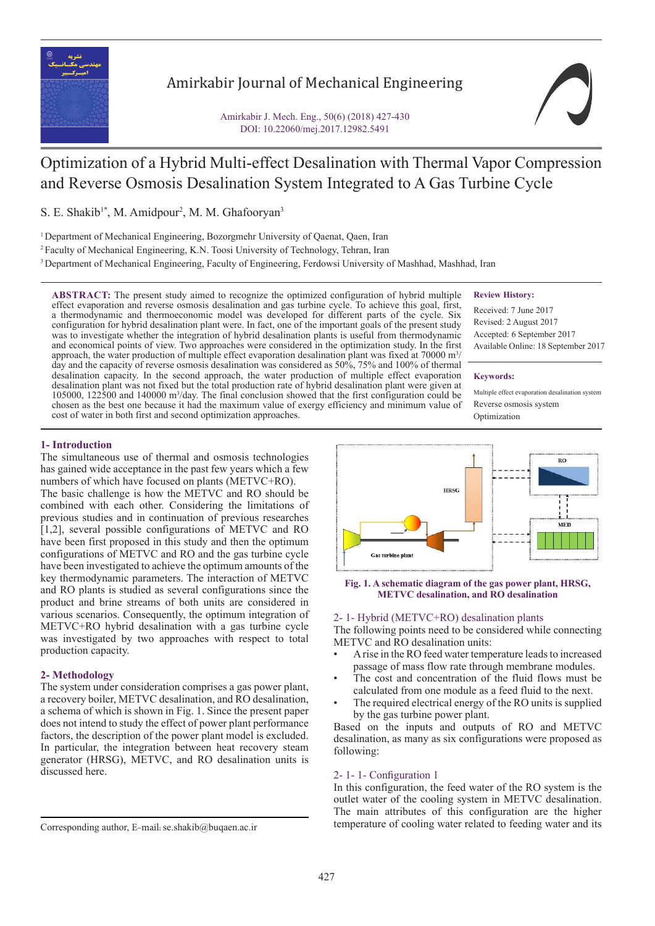

# Amirkabir Journal of Mechanical Engineering

Amirkabir J. Mech. Eng., 50(6) (2018) 427-430 DOI: 10.22060/mej.2017.12982.5491

# Optimization of a Hybrid Multi-effect Desalination with Thermal Vapor Compression and Reverse Osmosis Desalination System Integrated to A Gas Turbine Cycle

S. E. Shakib<sup>1\*</sup>, M. Amidpour<sup>2</sup>, M. M. Ghafooryan<sup>3</sup>

<sup>1</sup> Department of Mechanical Engineering, Bozorgmehr University of Qaenat, Qaen, Iran

<sup>2</sup> Faculty of Mechanical Engineering, K.N. Toosi University of Technology, Tehran, Iran

<sup>3</sup> Department of Mechanical Engineering, Faculty of Engineering, Ferdowsi University of Mashhad, Mashhad, Iran

**ABSTRACT:** The present study aimed to recognize the optimized configuration of hybrid multiple effect evaporation and reverse osmosis desalination and gas turbine cycle. To achieve this goal, first, a thermodynamic and thermoeconomic model was developed for different parts of the cycle. Six configuration for hybrid desalination plant were. In fact, one of the important goals of the present study was to investigate whether the integration of hybrid desalination plants is useful from thermodynamic and economical points of view. Two approaches were considered in the optimization study. In the first approach, the water production of multiple effect evaporation desalination plant was fixed at 70000  $\mathrm{m}^{3}/$ day and the capacity of reverse osmosis desalination was considered as 50%, 75% and 100% of thermal desalination capacity. In the second approach, the water production of multiple effect evaporation desalination plant was not fixed but the total production rate of hybrid desalination plant were given at 105000, 122500 and 140000 m3 /day. The final conclusion showed that the first configuration could be chosen as the best one because it had the maximum value of exergy efficiency and minimum value of cost of water in both first and second optimization approaches.

# **Review History:**

Received: 7 June 2017 Revised: 2 August 2017 Accepted: 6 September 2017 Available Online: 18 September 2017

#### **Keywords:**

Multiple effect evaporation desalination system Reverse osmosis system Optimization

# **1- Introduction**

The simultaneous use of thermal and osmosis technologies has gained wide acceptance in the past few years which a few numbers of which have focused on plants (METVC+RO).

The basic challenge is how the METVC and RO should be combined with each other. Considering the limitations of previous studies and in continuation of previous researches [1,2], several possible configurations of METVC and RO have been first proposed in this study and then the optimum configurations of METVC and RO and the gas turbine cycle have been investigated to achieve the optimum amounts of the key thermodynamic parameters. The interaction of METVC and RO plants is studied as several configurations since the product and brine streams of both units are considered in various scenarios. Consequently, the optimum integration of METVC+RO hybrid desalination with a gas turbine cycle was investigated by two approaches with respect to total production capacity.

# **2- Methodology**

The system under consideration comprises a gas power plant, a recovery boiler, METVC desalination, and RO desalination, a schema of which is shown in Fig. 1. Since the present paper does not intend to study the effect of power plant performance factors, the description of the power plant model is excluded. In particular, the integration between heat recovery steam generator (HRSG), METVC, and RO desalination units is discussed here.



**Fig. 1. A schematic diagram of the gas power plant, HRSG, METVC desalination, and RO desalination**

# 2- 1- Hybrid (METVC+RO) desalination plants

The following points need to be considered while connecting METVC and RO desalination units:

- A rise in the RO feed water temperature leads to increased passage of mass flow rate through membrane modules.
- The cost and concentration of the fluid flows must be calculated from one module as a feed fluid to the next.
- The required electrical energy of the RO units is supplied by the gas turbine power plant.

Based on the inputs and outputs of RO and METVC desalination, as many as six configurations were proposed as following:

# 2- 1- 1- Configuration 1

In this configuration, the feed water of the RO system is the outlet water of the cooling system in METVC desalination. The main attributes of this configuration are the higher temperature of cooling water related to feeding water and its Corresponding author, <sup>E</sup>-mail: se.shakib@buqaen.ac.ir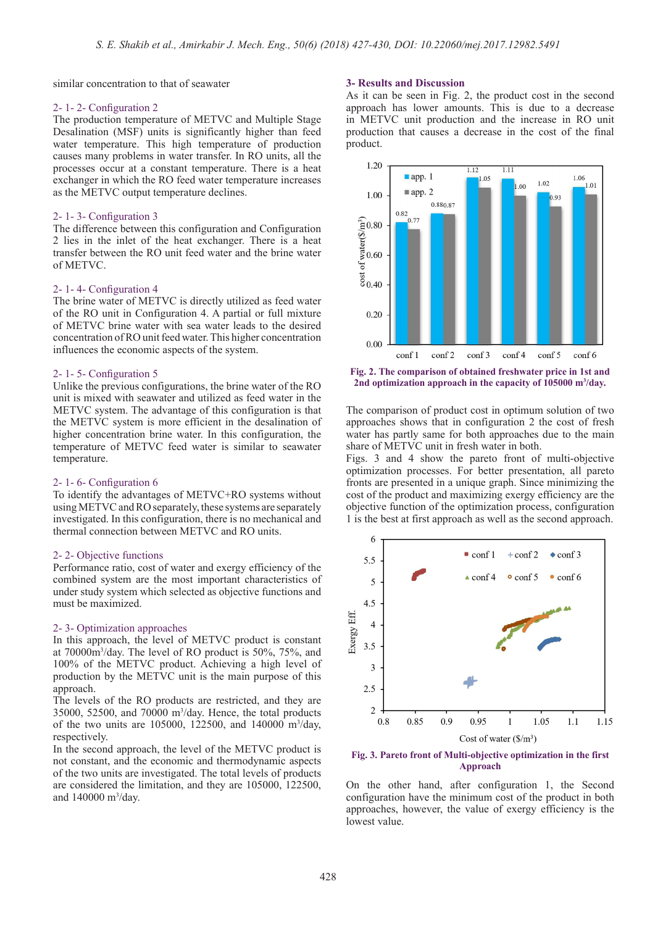similar concentration to that of seawater

#### 2- 1- 2- Configuration 2

The production temperature of METVC and Multiple Stage Desalination (MSF) units is significantly higher than feed water temperature. This high temperature of production causes many problems in water transfer. In RO units, all the processes occur at a constant temperature. There is a heat exchanger in which the RO feed water temperature increases as the METVC output temperature declines.

# 2- 1- 3- Configuration 3

The difference between this configuration and Configuration 2 lies in the inlet of the heat exchanger. There is a heat transfer between the RO unit feed water and the brine water of METVC.

#### 2- 1- 4- Configuration 4

The brine water of METVC is directly utilized as feed water of the RO unit in Configuration 4. A partial or full mixture of METVC brine water with sea water leads to the desired concentration of RO unit feed water. This higher concentration influences the economic aspects of the system.

#### 2- 1- 5- Configuration 5

Unlike the previous configurations, the brine water of the RO unit is mixed with seawater and utilized as feed water in the METVC system. The advantage of this configuration is that the METVC system is more efficient in the desalination of higher concentration brine water. In this configuration, the temperature of METVC feed water is similar to seawater temperature.

#### 2- 1- 6- Configuration 6

To identify the advantages of METVC+RO systems without using METVC and RO separately, these systems are separately investigated. In this configuration, there is no mechanical and thermal connection between METVC and RO units.

#### 2- 2- Objective functions

Performance ratio, cost of water and exergy efficiency of the combined system are the most important characteristics of under study system which selected as objective functions and must be maximized.

#### 2- 3- Optimization approaches

In this approach, the level of METVC product is constant at 70000m3 /day. The level of RO product is 50%, 75%, and 100% of the METVC product. Achieving a high level of production by the METVC unit is the main purpose of this approach.

The levels of the RO products are restricted, and they are 35000, 52500, and 70000 m3 /day. Hence, the total products of the two units are 105000, 122500, and 140000 m<sup>3</sup>/day, respectively.

In the second approach, the level of the METVC product is not constant, and the economic and thermodynamic aspects of the two units are investigated. The total levels of products are considered the limitation, and they are 105000, 122500, and 140000 m<sup>3</sup>/day.

# **3- Results and Discussion**

As it can be seen in Fig. 2, the product cost in the second approach has lower amounts. This is due to a decrease in METVC unit production and the increase in RO unit production that causes a decrease in the cost of the final product.



**Fig. 2. The comparison of obtained freshwater price in 1st and**  2nd optimization approach in the capacity of 105000 m<sup>3</sup>/day.

The comparison of product cost in optimum solution of two approaches shows that in configuration 2 the cost of fresh water has partly same for both approaches due to the main share of METVC unit in fresh water in both.

Figs. 3 and 4 show the pareto front of multi-objective optimization processes. For better presentation, all pareto fronts are presented in a unique graph. Since minimizing the cost of the product and maximizing exergy efficiency are the objective function of the optimization process, configuration 1 is the best at first approach as well as the second approach.



**Fig. 3. Pareto front of Multi-objective optimization in the first Approach**

On the other hand, after configuration 1, the Second configuration have the minimum cost of the product in both approaches, however, the value of exergy efficiency is the lowest value.